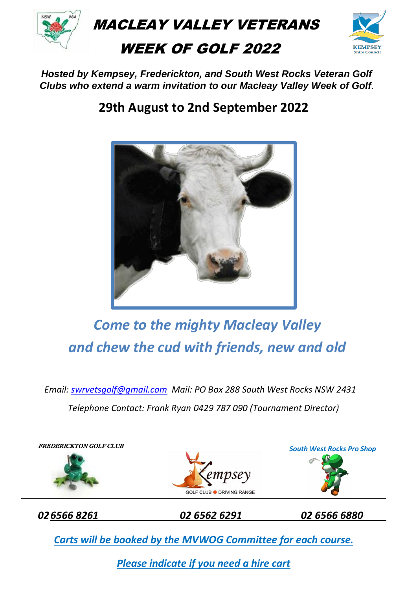

MACLEAY VALLEY VETERANS

## WEEK OF GOLF 2022



*Hosted by Kempsey, Frederickton, and South West Rocks Veteran Golf Clubs who extend a warm invitation to our Macleay Valley Week of Golf.*

**29th August to 2nd September 2022**



## *Come to the mighty Macleay Valley and chew the cud with friends, new and old*

*Email: [swrvetsgolf@gmail.com](mailto:swrvetsgolf@gmail.com) Mail: PO Box 288 South West Rocks NSW 2431 Telephone Contact: Frank Ryan 0429 787 090 (Tournament Director)*



*Carts will be booked by the MVWOG Committee for each course.*

*Please indicate if you need a hire cart*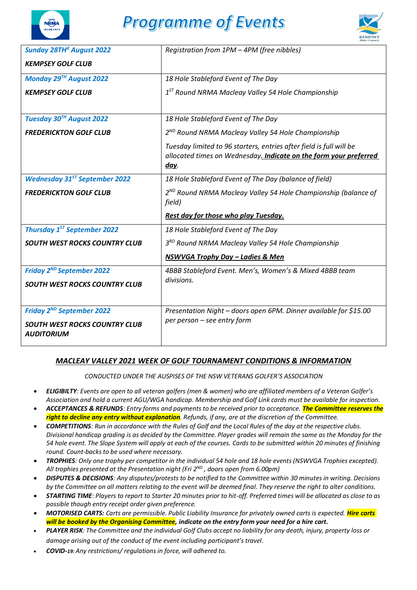

## **Programme of Events**

![](_page_1_Picture_2.jpeg)

| <b>Sunday 28THd August 2022</b>                           | Registration from 1PM - 4PM (free nibbles)                                                                                                       |  |  |
|-----------------------------------------------------------|--------------------------------------------------------------------------------------------------------------------------------------------------|--|--|
| <b>KEMPSEY GOLF CLUB</b>                                  |                                                                                                                                                  |  |  |
| Monday 29 <sup>TH</sup> August 2022                       | 18 Hole Stableford Event of The Day                                                                                                              |  |  |
| <b>KEMPSEY GOLF CLUB</b>                                  | $1ST$ Round NRMA Macleay Valley 54 Hole Championship                                                                                             |  |  |
|                                                           |                                                                                                                                                  |  |  |
| Tuesday 30TH August 2022                                  | 18 Hole Stableford Event of The Day                                                                                                              |  |  |
| <b>FREDERICKTON GOLF CLUB</b>                             | 2 <sup>ND</sup> Round NRMA Macleay Valley 54 Hole Championship                                                                                   |  |  |
|                                                           | Tuesday limited to 96 starters, entries after field is full will be<br>allocated times on Wednesday. Indicate on the form your preferred<br>day. |  |  |
| <b>Wednesday 31<sup>ST</sup> September 2022</b>           | 18 Hole Stableford Event of The Day (balance of field)                                                                                           |  |  |
| <b>FREDERICKTON GOLF CLUB</b>                             | 2 <sup>ND</sup> Round NRMA Macleay Valley 54 Hole Championship (balance of<br>field)                                                             |  |  |
|                                                           | <b>Rest day for those who play Tuesday.</b>                                                                                                      |  |  |
| <b>Thursday 1<sup>ST</sup> September 2022</b>             | 18 Hole Stableford Event of The Day                                                                                                              |  |  |
| <b>SOUTH WEST ROCKS COUNTRY CLUB</b>                      | 3RD Round NRMA Macleay Valley 54 Hole Championship                                                                                               |  |  |
|                                                           | <b>NSWVGA Trophy Day - Ladies &amp; Men</b>                                                                                                      |  |  |
| Friday 2 <sup>ND</sup> September 2022                     | 4BBB Stableford Event. Men's, Women's & Mixed 4BBB team                                                                                          |  |  |
| <b>SOUTH WEST ROCKS COUNTRY CLUB</b>                      | divisions.                                                                                                                                       |  |  |
|                                                           |                                                                                                                                                  |  |  |
| Friday 2 <sup>ND</sup> September 2022                     | Presentation Night - doors open 6PM. Dinner available for \$15.00                                                                                |  |  |
| <b>SOUTH WEST ROCKS COUNTRY CLUB</b><br><b>AUDITORIUM</b> | per person - see entry form                                                                                                                      |  |  |

## *MACLEAY VALLEY 2021 WEEK OF GOLF TOURNAMENT CONDITIONS & INFORMATION*

*CONDUCTED UNDER THE AUSPISES OF THE NSW VETERANS GOLFER'S ASSOCIATION*

- *ELIGIBILTY: Events are open to all veteran golfers (men & women) who are affiliated members of a Veteran Golfer's Association and hold a current AGU/WGA handicap. Membership and Golf Link cards must be available for inspection.*
- *ACCEPTANCES & REFUNDS: Entry forms and payments to be received prior to acceptance. The Committee reserves the right to decline any entry without explanation. Refunds, if any, are at the discretion of the Committee.*
- *COMPETITIONS: Run in accordance with the Rules of Golf and the Local Rules of the day at the respective clubs. Divisional handicap grading is as decided by the Committee. Player grades will remain the same as the Monday for the 54 hole event. The Slope System will apply at each of the courses. Cards to be submitted within 20 minutes of finishing round. Count-backs to be used where necessary.*
- *TROPHIES: Only one trophy per competitor in the individual 54 hole and 18 hole events (NSWVGA Trophies excepted). All trophies presented at the Presentation night (Fri 2 ND , doors open from 6.00pm)*
- *DISPUTES & DECISIONS: Any disputes/protests to be notified to the Committee within 30 minutes in writing. Decisions by the Committee on all matters relating to the event will be deemed final. They reserve the right to alter conditions.*
- *STARTING TIME: Players to report to Starter 20 minutes prior to hit-off. Preferred times will be allocated as close to as possible though entry receipt order given preference.*
- *MOTORISED CARTS: Carts are permissible. Public Liability Insurance for privately owned carts is expected. Hire carts will be booked by the Organising Committee, indicate on the entry form your need for a hire cart.*
- *PLAYER RISK: The Committee and the individual Golf Clubs accept no liability for any death, injury, property loss or damage arising out of the conduct of the event including participant's travel.*
- *COVID-19: Any restrictions/ regulations in force, will adhered to.*